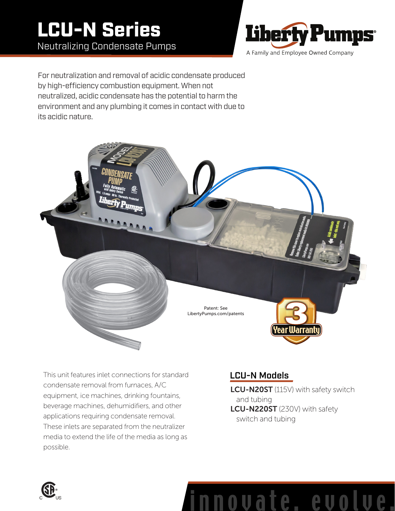# LCU-N Series Neutralizing Condensate Pumps



For neutralization and removal of acidic condensate produced by high-efficiency combustion equipment. When not neutralized, acidic condensate has the potential to harm the environment and any plumbing it comes in contact with due to its acidic nature.



This unit features inlet connections for standard condensate removal from furnaces, A/C equipment, ice machines, drinking fountains, beverage machines, dehumidifiers, and other applications requiring condensate removal. These inlets are separated from the neutralizer media to extend the life of the media as long as possible.

# LCU-N Models

LCU-N20ST (115V) with safety switch and tubing LCU-N220ST (230V) with safety switch and tubing